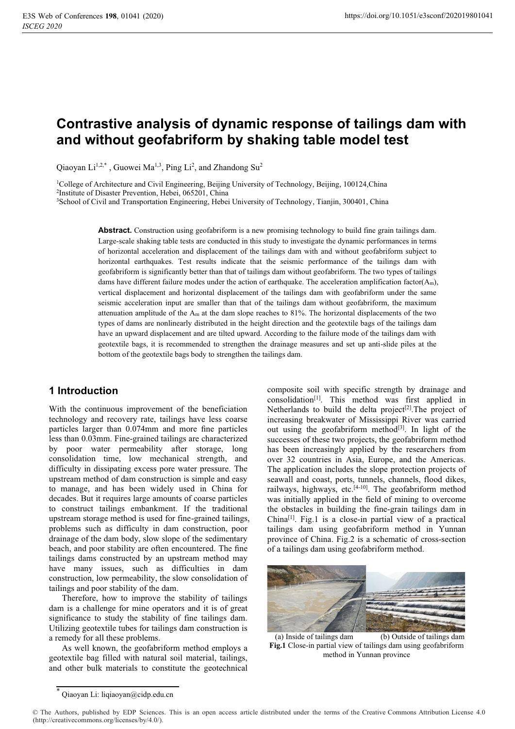# **Contrastive analysis of dynamic response of tailings dam with and without geofabriform by shaking table model test**

Qiaoyan Li<sup>1,2,\*</sup>, Guowei Ma<sup>1,3</sup>, Ping Li<sup>2</sup>, and Zhandong Su<sup>2</sup>

<sup>1</sup>College of Architecture and Civil Engineering, Beijing University of Technology, Beijing, 100124, China <sup>2</sup>Institute of Disaster Prevention, Hebei, 065201, China

3School of Civil and Transportation Engineering, Hebei University of Technology, Tianjin, 300401, China

Abstract. Construction using geofabriform is a new promising technology to build fine grain tailings dam. Large-scale shaking table tests are conducted in this study to investigate the dynamic performances in terms of horizontal acceleration and displacement of the tailings dam with and without geofabriform subject to horizontal earthquakes. Test results indicate that the seismic performance of the tailings dam with geofabriform is significantly better than that of tailings dam without geofabriform. The two types of tailings dams have different failure modes under the action of earthquake. The acceleration amplification factor( $A_m$ ), vertical displacement and horizontal displacement of the tailings dam with geofabriform under the same seismic acceleration input are smaller than that of the tailings dam without geofabriform, the maximum attenuation amplitude of the  $A_m$  at the dam slope reaches to 81%. The horizontal displacements of the two types of dams are nonlinearly distributed in the height direction and the geotextile bags of the tailings dam have an upward displacement and are tilted upward. According to the failure mode of the tailings dam with geotextile bags, it is recommended to strengthen the drainage measures and set up anti-slide piles at the bottom of the geotextile bags body to strengthen the tailings dam.

# **1 Introduction**

With the continuous improvement of the beneficiation technology and recovery rate, tailings have less coarse particles larger than 0.074mm and more fine particles less than 0.03mm. Fine-grained tailings are characterized by poor water permeability after storage, long consolidation time, low mechanical strength, and difficulty in dissipating excess pore water pressure. The upstream method of dam construction is simple and easy to manage, and has been widely used in China for decades. But it requires large amounts of coarse particles to construct tailings embankment. If the traditional upstream storage method is used for fine-grained tailings, problems such as difficulty in dam construction, poor drainage of the dam body, slow slope of the sedimentary beach, and poor stability are often encountered. The fine tailings dams constructed by an upstream method may have many issues, such as difficulties in dam construction, low permeability, the slow consolidation of tailings and poor stability of the dam.

Therefore, how to improve the stability of tailings dam is a challenge for mine operators and it is of great significance to study the stability of fine tailings dam. Utilizing geotextile tubes for tailings dam construction is a remedy for all these problems.

As well known, the geofabriform method employs a geotextile bag filled with natural soil material, tailings, and other bulk materials to constitute the geotechnical

composite soil with specific strength by drainage and consolidation[1]. This method was first applied in Netherlands to build the delta project<sup>[2]</sup>. The project of increasing breakwater of Mississippi River was carried out using the geofabriform method $[3]$ . In light of the successes of these two projects, the geofabriform method has been increasingly applied by the researchers from over 32 countries in Asia, Europe, and the Americas. The application includes the slope protection projects of seawall and coast, ports, tunnels, channels, flood dikes, railways, highways, etc.<sup>[4-10]</sup>. The geofabriform method was initially applied in the field of mining to overcome the obstacles in building the fine-grain tailings dam in  $China<sup>[1]</sup>$ . Fig.1 is a close-in partial view of a practical tailings dam using geofabriform method in Yunnan province of China. Fig.2 is a schematic of cross-section of a tailings dam using geofabriform method.



(a) Inside of tailings dam (b) Outside of tailings dam **Fig.1** Close-in partial view of tailings dam using geofabriform method in Yunnan province

<sup>\*</sup> Qiaoyan Li: liqiaoyan@cidp.edu.cn

<sup>©</sup> The Authors, published by EDP Sciences. This is an open access article distributed under the terms of the Creative Commons Attribution License 4.0 (http://creativecommons.org/licenses/by/4.0/).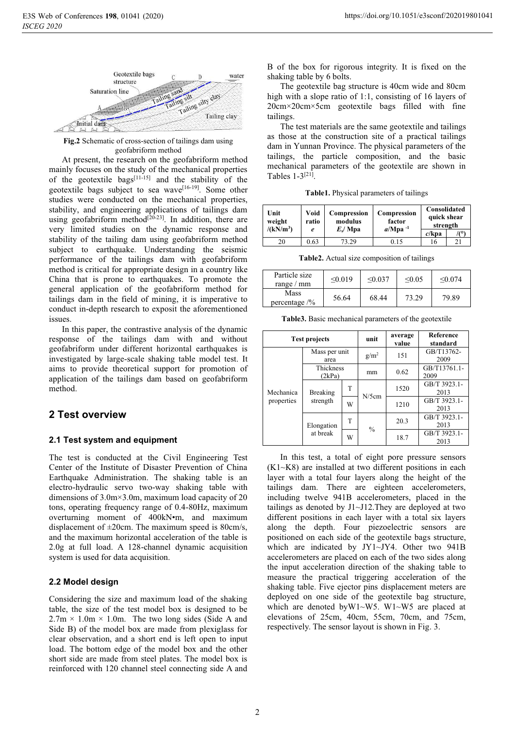

**Fig.2** Schematic of cross-section of tailings dam using geofabriform method

At present, the research on the geofabriform method mainly focuses on the study of the mechanical properties of the geotextile bags<sup>[11-15]</sup> and the stability of the geotextile bags subject to sea wave[16-19]. Some other studies were conducted on the mechanical properties, stability, and engineering applications of tailings dam using geofabriform method<sup>[20-23]</sup>. In addition, there are very limited studies on the dynamic response and stability of the tailing dam using geofabriform method subject to earthquake. Understanding the seismic performance of the tailings dam with geofabriform method is critical for appropriate design in a country like China that is prone to earthquakes. To promote the general application of the geofabriform method for tailings dam in the field of mining, it is imperative to conduct in-depth research to exposit the aforementioned issues.

In this paper, the contrastive analysis of the dynamic response of the tailings dam with and without geofabriform under different horizontal earthquakes is investigated by large-scale shaking table model test. It aims to provide theoretical support for promotion of application of the tailings dam based on geofabriform method.

# **2 Test overview**

## **2.1 Test system and equipment**

The test is conducted at the Civil Engineering Test Center of the Institute of Disaster Prevention of China Earthquake Administration. The shaking table is an electro-hydraulic servo two-way shaking table with dimensions of 3.0m×3.0m, maximum load capacity of 20 tons, operating frequency range of 0.4-80Hz, maximum overturning moment of 400kN•m, and maximum displacement of  $\pm 20$ cm. The maximum speed is 80cm/s, and the maximum horizontal acceleration of the table is 2.0g at full load. A 128-channel dynamic acquisition system is used for data acquisition.

## **2.2 Model design**

Considering the size and maximum load of the shaking table, the size of the test model box is designed to be  $2.7m \times 1.0m \times 1.0m$ . The two long sides (Side A and Side B) of the model box are made from plexiglass for clear observation, and a short end is left open to input load. The bottom edge of the model box and the other short side are made from steel plates. The model box is reinforced with 120 channel steel connecting side A and

B of the box for rigorous integrity. It is fixed on the shaking table by 6 bolts.

The geotextile bag structure is 40cm wide and 80cm high with a slope ratio of 1:1, consisting of 16 layers of 20cm×20cm×5cm geotextile bags filled with fine tailings.

The test materials are the same geotextile and tailings as those at the construction site of a practical tailings dam in Yunnan Province. The physical parameters of the tailings, the particle composition, and the basic mechanical parameters of the geotextile are shown in Tables  $1-3^{[21]}$ .

**Table1.** Physical parameters of tailings

| Unit<br>weight<br>/(kN/m <sup>3</sup> ) | Void<br>ratio<br>e | Compression<br>modulus<br>E/Mpa | Compression<br>factor<br>$a/Mpa^{-1}$ | Consolidated<br>quick shear<br>strength<br>$c/k$ pa |  |
|-----------------------------------------|--------------------|---------------------------------|---------------------------------------|-----------------------------------------------------|--|
| 20                                      | 0.63               | 73.29                           | 9.15                                  | Iб                                                  |  |

**Table2.** Actual size composition of tailings

| Particle size<br>range $/$ mm    | < 0.019 | $\leq 0.037$ | $\leq 0.05$ | < 0.074 |
|----------------------------------|---------|--------------|-------------|---------|
| Mass<br>percentage $\frac{9}{6}$ | 56.64   | 68.44        | 73.29       | 79.89   |

**Table3.** Basic mechanical parameters of the geotextile

|                         | <b>Test projects</b>   |   | unit          | average<br>value | <b>Reference</b><br>standard |
|-------------------------|------------------------|---|---------------|------------------|------------------------------|
| Mechanica<br>properties | Mass per unit<br>area  |   | $g/m^2$       | 151              | GB/T13762-<br>2009           |
|                         | Thickness<br>(2kPa)    |   | mm            | 0.62             | GB/T13761.1-<br>2009         |
|                         | Breaking<br>strength   | T | $N/5$ cm      | 1520             | GB/T 3923.1-<br>2013         |
|                         |                        | W |               | 1210             | GB/T 3923.1-<br>2013         |
|                         | Elongation<br>at break | т | $\frac{0}{0}$ | 20.3             | GB/T 3923.1-<br>2013         |
|                         |                        | W |               | 18.7             | GB/T 3923.1-<br>2013         |

In this test, a total of eight pore pressure sensors (K1~K8) are installed at two different positions in each layer with a total four layers along the height of the tailings dam. There are eighteen accelerometers, including twelve 941B accelerometers, placed in the tailings as denoted by J1~J12.They are deployed at two different positions in each layer with a total six layers along the depth. Four piezoelectric sensors are positioned on each side of the geotextile bags structure, which are indicated by JY1~JY4. Other two 941B accelerometers are placed on each of the two sides along the input acceleration direction of the shaking table to measure the practical triggering acceleration of the shaking table. Five ejector pins displacement meters are deployed on one side of the geotextile bag structure, which are denoted by W1~W5. W1~W5 are placed at elevations of 25cm, 40cm, 55cm, 70cm, and 75cm, respectively. The sensor layout is shown in Fig. 3.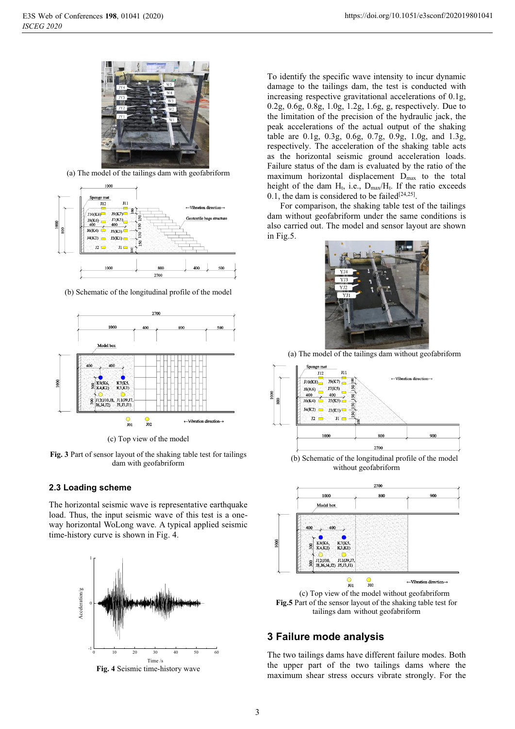

(a) The model of the tailings dam with geofabriform



(b) Schematic of the longitudinal profile of the model



(c) Top view of the model

**Fig. 3** Part of sensor layout of the shaking table test for tailings dam with geofabriform

#### **2.3 Loading scheme**

The horizontal seismic wave is representative earthquake load. Thus, the input seismic wave of this test is a oneway horizontal WoLong wave. A typical applied seismic time-history curve is shown in Fig. 4.



**Fig. 4** Seismic time-history wave

To identify the specific wave intensity to incur dynamic damage to the tailings dam, the test is conducted with increasing respective gravitational accelerations of 0.1g, 0.2g, 0.6g, 0.8g, 1.0g, 1.2g, 1.6g, g, respectively. Due to the limitation of the precision of the hydraulic jack, the peak accelerations of the actual output of the shaking table are 0.1g, 0.3g, 0.6g, 0.7g, 0.9g, 1.0g, and 1.3g, respectively. The acceleration of the shaking table acts as the horizontal seismic ground acceleration loads. Failure status of the dam is evaluated by the ratio of the maximum horizontal displacement Dmax to the total height of the dam  $H_t$ , i.e.,  $D_{\text{max}}/H_t$ . If the ratio exceeds 0.1, the dam is considered to be failed<sup>[24,25]</sup>.

For comparison, the shaking table test of the tailings dam without geofabriform under the same conditions is also carried out. The model and sensor layout are shown in Fig.5.



(a) The model of the tailings dam without geofabriform



(b) Schematic of the longitudinal profile of the model without geofabriform



(c) Top view of the model without geofabriform **Fig.5** Part of the sensor layout of the shaking table test for tailings dam without geofabriform

## **3 Failure mode analysis**

The two tailings dams have different failure modes. Both the upper part of the two tailings dams where the maximum shear stress occurs vibrate strongly. For the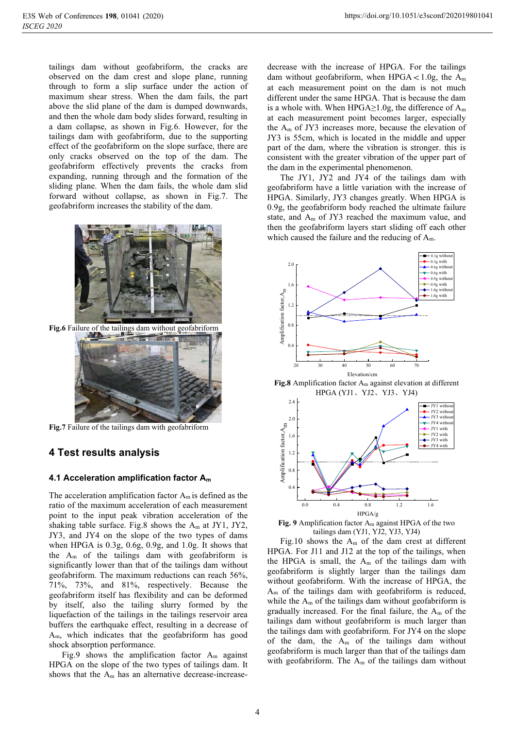tailings dam without geofabriform, the cracks are observed on the dam crest and slope plane, running through to form a slip surface under the action of maximum shear stress. When the dam fails, the part above the slid plane of the dam is dumped downwards, and then the whole dam body slides forward, resulting in a dam collapse, as shown in Fig.6. However, for the tailings dam with geofabriform, due to the supporting effect of the geofabriform on the slope surface, there are only cracks observed on the top of the dam. The geofabriform effectively prevents the cracks from expanding, running through and the formation of the sliding plane. When the dam fails, the whole dam slid forward without collapse, as shown in Fig.7. The geofabriform increases the stability of the dam.





**Fig.7** Failure of the tailings dam with geofabriform

# **4 Test results analysis**

## **4.1 Acceleration amplification factor Am**

The acceleration amplification factor  $A_m$  is defined as the ratio of the maximum acceleration of each measurement point to the input peak vibration acceleration of the shaking table surface. Fig.8 shows the  $A_m$  at JY1, JY2, JY3, and JY4 on the slope of the two types of dams when HPGA is 0.3g, 0.6g, 0.9g, and 1.0g. It shows that the  $A_m$  of the tailings dam with geofabriform is significantly lower than that of the tailings dam without geofabriform. The maximum reductions can reach 56%, 71%, 73%, and 81%, respectively. Because the geofabriform itself has flexibility and can be deformed by itself, also the tailing slurry formed by the liquefaction of the tailings in the tailings reservoir area buffers the earthquake effect, resulting in a decrease of Am, which indicates that the geofabriform has good shock absorption performance.

Fig.9 shows the amplification factor  $A_m$  against HPGA on the slope of the two types of tailings dam. It shows that the  $A_m$  has an alternative decrease-increase-

decrease with the increase of HPGA. For the tailings dam without geofabriform, when HPGA <  $1.0g$ , the A<sub>m</sub> at each measurement point on the dam is not much different under the same HPGA. That is because the dam is a whole with. When HPGA≥1.0g, the difference of  $A_m$ at each measurement point becomes larger, especially the  $A_m$  of JY3 increases more, because the elevation of JY3 is 55cm, which is located in the middle and upper part of the dam, where the vibration is stronger. this is consistent with the greater vibration of the upper part of the dam in the experimental phenomenon.

The JY1, JY2 and JY4 of the tailings dam with geofabriform have a little variation with the increase of HPGA. Similarly, JY3 changes greatly. When HPGA is 0.9g, the geofabriform body reached the ultimate failure state, and  $A_m$  of JY3 reached the maximum value, and then the geofabriform layers start sliding off each other which caused the failure and the reducing of  $A_m$ .



**Fig.8** Amplification factor Am against elevation at different HPGA (YJ1、YJ2、YJ3、YJ4)



**Fig. 9** Amplification factor Am against HPGA of the two tailings dam (YJ1, YJ2, YJ3, YJ4)

Fig.10 shows the  $A_m$  of the dam crest at different HPGA. For J11 and J12 at the top of the tailings, when the HPGA is small, the  $A_m$  of the tailings dam with geofabriform is slightly larger than the tailings dam without geofabriform. With the increase of HPGA, the Am of the tailings dam with geofabriform is reduced, while the  $A_m$  of the tailings dam without geofabriform is gradually increased. For the final failure, the  $A_m$  of the tailings dam without geofabriform is much larger than the tailings dam with geofabriform. For JY4 on the slope of the dam, the  $A_m$  of the tailings dam without geofabriform is much larger than that of the tailings dam with geofabriform. The  $A_m$  of the tailings dam without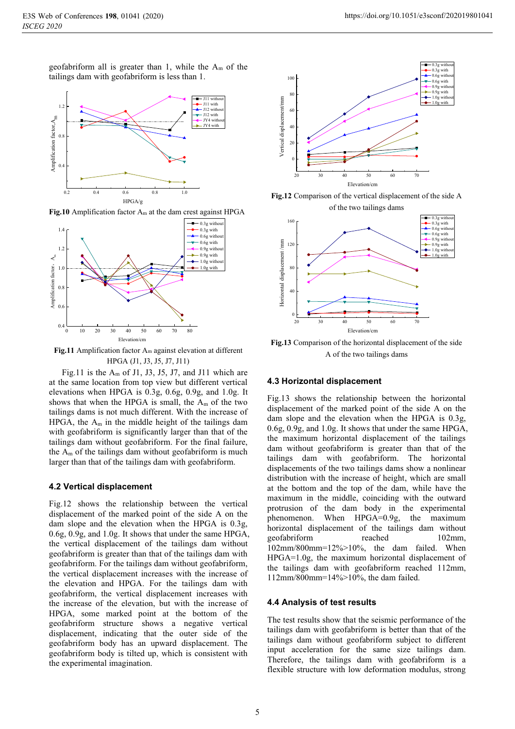geofabriform all is greater than 1, while the  $A_m$  of the tailings dam with geofabriform is less than 1.



**Fig.10** Amplification factor Am at the dam crest against HPGA



**Fig.11** Amplification factor Am against elevation at different HPGA (J1, J3, J5, J7, J11)

Fig.11 is the  $A_m$  of J1, J3, J5, J7, and J11 which are at the same location from top view but different vertical elevations when HPGA is 0.3g, 0.6g, 0.9g, and 1.0g. It shows that when the HPGA is small, the  $A_m$  of the two tailings dams is not much different. With the increase of HPGA, the  $A_m$  in the middle height of the tailings dam with geofabriform is significantly larger than that of the tailings dam without geofabriform. For the final failure, the  $A_m$  of the tailings dam without geofabriform is much larger than that of the tailings dam with geofabriform.

#### **4.2 Vertical displacement**

Fig.12 shows the relationship between the vertical displacement of the marked point of the side A on the dam slope and the elevation when the HPGA is 0.3g, 0.6g, 0.9g, and 1.0g. It shows that under the same HPGA, the vertical displacement of the tailings dam without geofabriform is greater than that of the tailings dam with geofabriform. For the tailings dam without geofabriform, the vertical displacement increases with the increase of the elevation and HPGA. For the tailings dam with geofabriform, the vertical displacement increases with the increase of the elevation, but with the increase of HPGA, some marked point at the bottom of the geofabriform structure shows a negative vertical displacement, indicating that the outer side of the geofabriform body has an upward displacement. The geofabriform body is tilted up, which is consistent with the experimental imagination.



**Fig.12** Comparison of the vertical displacement of the side A of the two tailings dams



**Fig.13** Comparison of the horizontal displacement of the side A of the two tailings dams

## **4.3 Horizontal displacement**

Fig.13 shows the relationship between the horizontal displacement of the marked point of the side A on the dam slope and the elevation when the HPGA is 0.3g, 0.6g, 0.9g, and 1.0g. It shows that under the same HPGA, the maximum horizontal displacement of the tailings dam without geofabriform is greater than that of the tailings dam with geofabriform. The horizontal displacements of the two tailings dams show a nonlinear distribution with the increase of height, which are small at the bottom and the top of the dam, while have the maximum in the middle, coinciding with the outward protrusion of the dam body in the experimental phenomenon. When HPGA=0.9g, the maximum horizontal displacement of the tailings dam without geofabriform reached 102mm, 102mm/800mm=12%>10%, the dam failed. When HPGA=1.0g, the maximum horizontal displacement of the tailings dam with geofabriform reached 112mm, 112mm/800mm=14%>10%, the dam failed.

#### **4.4 Analysis of test results**

The test results show that the seismic performance of the tailings dam with geofabriform is better than that of the tailings dam without geofabriform subject to different input acceleration for the same size tailings dam. Therefore, the tailings dam with geofabriform is a flexible structure with low deformation modulus, strong